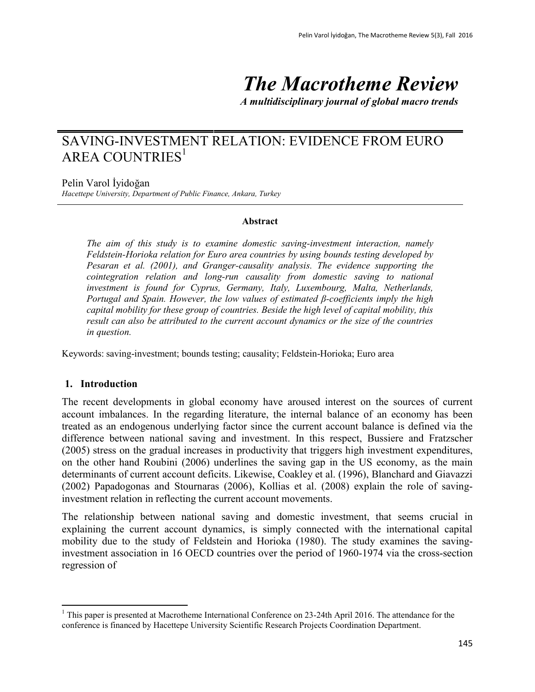# *The Macrotheme Review*

*A multidisciplinary journal of global macro trends*

# SAVING-INVESTMENT RELATION: EVIDENCE FROM EURO AREA COUNTRIES $<sup>1</sup>$ </sup>

Pelin Varol İyidoğan

*Hacettepe University, Department of Public Finance, Ankara, Turkey*

#### **Abstract**

*The aim of this study is to examine domestic saving-investment interaction, namely Feldstein-Horioka relation for Euro area countries by using bounds testing developed by Pesaran et al. (2001), and Granger-causality analysis. The evidence supporting the cointegration relation and long-run causality from domestic saving to national investment is found for Cyprus, Germany, Italy, Luxembourg, Malta, Netherlands, Portugal and Spain. However, the low values of estimated β-coefficients imply the high capital mobility for these group of countries. Beside the high level of capital mobility, this result can also be attributed to the current account dynamics or the size of the countries in question.*

Keywords: saving-investment; bounds testing; causality; Feldstein-Horioka; Euro area

#### **1. Introduction**

 $\overline{a}$ 

The recent developments in global economy have aroused interest on the sources of current account imbalances. In the regarding literature, the internal balance of an economy has been treated as an endogenous underlying factor since the current account balance is defined via the difference between national saving and investment. In this respect, Bussiere and Fratzscher (2005) stress on the gradual increases in productivity that triggers high investment expenditures, on the other hand Roubini (2006) underlines the saving gap in the US economy, as the main determinants of current account deficits. Likewise, Coakley et al. (1996), Blanchard and Giavazzi (2002) Papadogonas and Stournaras (2006), Kollias et al. (2008) explain the role of savinginvestment relation in reflecting the current account movements.

The relationship between national saving and domestic investment, that seems crucial in explaining the current account dynamics, is simply connected with the international capital mobility due to the study of Feldstein and Horioka (1980). The study examines the savinginvestment association in 16 OECD countries over the period of 1960-1974 via the cross-section regression of

 $1$  This paper is presented at Macrotheme International Conference on 23-24th April 2016. The attendance for the conference is financed by Hacettepe University Scientific Research Projects Coordination Department.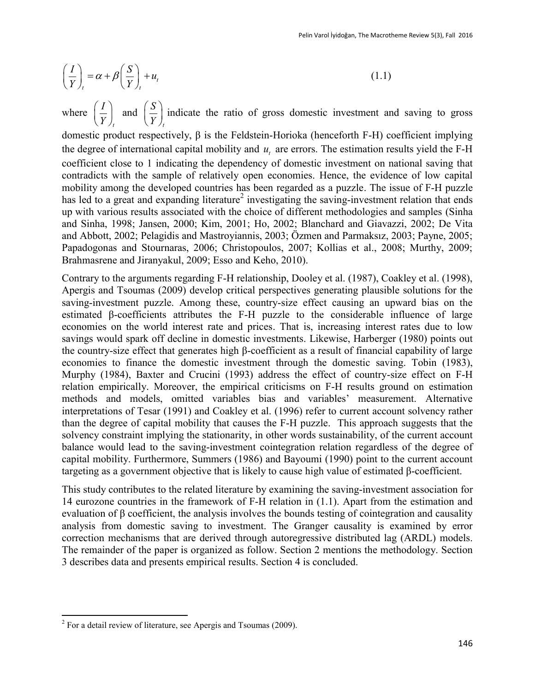$$
\left(\frac{I}{Y}\right)_t = \alpha + \beta \left(\frac{S}{Y}\right)_t + u_t \tag{1.1}
$$

where *t I*  $\left(\frac{I}{Y}\right)_t$  and *t S*  $\left(\frac{S}{Y}\right)_t$  indicate the ratio of gross domestic investment and saving to gross

domestic product respectively, β is the Feldstein-Horioka (henceforth F-H) coefficient implying the degree of international capital mobility and  $u_t$  are errors. The estimation results yield the F-H coefficient close to 1 indicating the dependency of domestic investment on national saving that contradicts with the sample of relatively open economies. Hence, the evidence of low capital mobility among the developed countries has been regarded as a puzzle. The issue of F-H puzzle has led to a great and expanding literature<sup>2</sup> investigating the saving-investment relation that ends up with various results associated with the choice of different methodologies and samples (Sinha and Sinha, 1998; Jansen, 2000; Kim, 2001; Ho, 2002; Blanchard and Giavazzi, 2002; De Vita and Abbott, 2002; Pelagidis and Mastroyiannis, 2003; Özmen and Parmaksız, 2003; Payne, 2005; Papadogonas and Stournaras, 2006; Christopoulos, 2007; Kollias et al., 2008; Murthy, 2009; Brahmasrene and Jiranyakul, 2009; Esso and Keho, 2010).

Contrary to the arguments regarding F-H relationship, Dooley et al. (1987), Coakley et al. (1998), Apergis and Tsoumas (2009) develop critical perspectives generating plausible solutions for the saving-investment puzzle. Among these, country-size effect causing an upward bias on the estimated β-coefficients attributes the F-H puzzle to the considerable influence of large economies on the world interest rate and prices. That is, increasing interest rates due to low savings would spark off decline in domestic investments. Likewise, Harberger (1980) points out the country-size effect that generates high β-coefficient as a result of financial capability of large economies to finance the domestic investment through the domestic saving. Tobin (1983), Murphy (1984), Baxter and Crucini (1993) address the effect of country-size effect on F-H relation empirically. Moreover, the empirical criticisms on F-H results ground on estimation methods and models, omitted variables bias and variables' measurement. Alternative interpretations of Tesar (1991) and Coakley et al. (1996) refer to current account solvency rather than the degree of capital mobility that causes the F-H puzzle. This approach suggests that the solvency constraint implying the stationarity, in other words sustainability, of the current account balance would lead to the saving-investment cointegration relation regardless of the degree of capital mobility. Furthermore, Summers (1986) and Bayoumi (1990) point to the current account targeting as a government objective that is likely to cause high value of estimated β-coefficient.

This study contributes to the related literature by examining the saving-investment association for 14 eurozone countries in the framework of F-H relation in (1.1). Apart from the estimation and evaluation of  $\beta$  coefficient, the analysis involves the bounds testing of cointegration and causality analysis from domestic saving to investment. The Granger causality is examined by error correction mechanisms that are derived through autoregressive distributed lag (ARDL) models. The remainder of the paper is organized as follow. Section 2 mentions the methodology. Section 3 describes data and presents empirical results. Section 4 is concluded.

<sup>&</sup>lt;sup>2</sup> For a detail review of literature, see Apergis and Tsoumas (2009).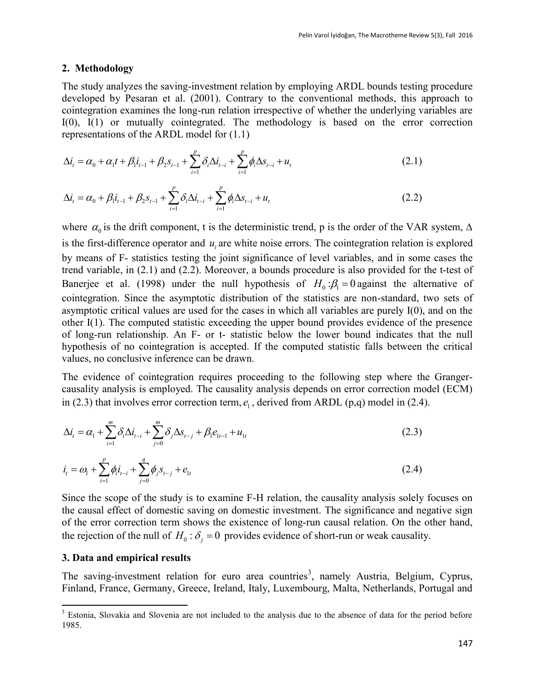#### **2. Methodology**

The study analyzes the saving-investment relation by employing ARDL bounds testing procedure developed by Pesaran et al. (2001). Contrary to the conventional methods, this approach to cointegration examines the long-run relation irrespective of whether the underlying variables are

I(0), I(1) or mutually cointegrated. The methodology is based on the error correction  
representations of the ARDL model for (1.1)  

$$
\Delta i_t = \alpha_0 + \alpha_1 t + \beta_1 i_{t-1} + \beta_2 s_{t-1} + \sum_{i=1}^p \delta_i \Delta i_{t-i} + \sum_{i=1}^p \phi_i \Delta s_{t-i} + u_t
$$
(2.1)

$$
\Delta i_t = \alpha_0 + \alpha_1 t + \beta_1 t_{t-1} + \beta_2 s_{t-1} + \sum_{i=1}^{\infty} \delta_i \Delta t_{t-i} + \sum_{i=1}^{\infty} \phi_i \Delta s_{t-i} + u_t
$$
\n(2.1)\n
$$
\Delta i_t = \alpha_0 + \beta_1 i_{t-1} + \beta_2 s_{t-1} + \sum_{i=1}^{\infty} \delta_i \Delta t_{t-i} + \sum_{i=1}^{\infty} \phi_i \Delta s_{t-i} + u_t
$$
\n(2.2)

where  $\alpha_0$  is the drift component, t is the deterministic trend, p is the order of the VAR system,  $\Delta$ is the first-difference operator and  $u_t$  are white noise errors. The cointegration relation is explored by means of F- statistics testing the joint significance of level variables, and in some cases the trend variable, in (2.1) and (2.2). Moreover, a bounds procedure is also provided for the t-test of Banerjee et al. (1998) under the null hypothesis of  $H_0: \beta_1 = 0$  against the alternative of cointegration. Since the asymptotic distribution of the statistics are non-standard, two sets of asymptotic critical values are used for the cases in which all variables are purely I(0), and on the other I(1). The computed statistic exceeding the upper bound provides evidence of the presence of long-run relationship. An F- or t- statistic below the lower bound indicates that the null hypothesis of no cointegration is accepted. If the computed statistic falls between the critical values, no conclusive inference can be drawn.

The evidence of cointegration requires proceeding to the following step where the Grangercausality analysis is employed. The causality analysis depends on error correction model (ECM)

in (2.3) that involves error correction term, 
$$
e_1
$$
, derived from ARDL (p,q) model in (2.4).  
\n
$$
\Delta i_t = \alpha_1 + \sum_{i=1}^m \delta_i \Delta i_{t-i} + \sum_{j=0}^m \delta_j \Delta s_{t-j} + \beta_1 e_{1t-1} + u_{1t}
$$
\n(2.3)

$$
i_{t} = \omega_{1} + \sum_{i=1}^{p} \phi_{i} i_{t-i} + \sum_{j=0}^{q} \phi_{j} s_{t-j} + e_{1t}
$$
\n(2.4)

Since the scope of the study is to examine F-H relation, the causality analysis solely focuses on the causal effect of domestic saving on domestic investment. The significance and negative sign of the error correction term shows the existence of long-run causal relation. On the other hand, the rejection of the null of  $H_0: \delta_j = 0$  provides evidence of short-run or weak causality.

#### **3. Data and empirical results**

 $\overline{a}$ 

The saving-investment relation for euro area countries<sup>3</sup>, namely Austria, Belgium, Cyprus, Finland, France, Germany, Greece, Ireland, Italy, Luxembourg, Malta, Netherlands, Portugal and

 $3$  Estonia, Slovakia and Slovenia are not included to the analysis due to the absence of data for the period before 1985.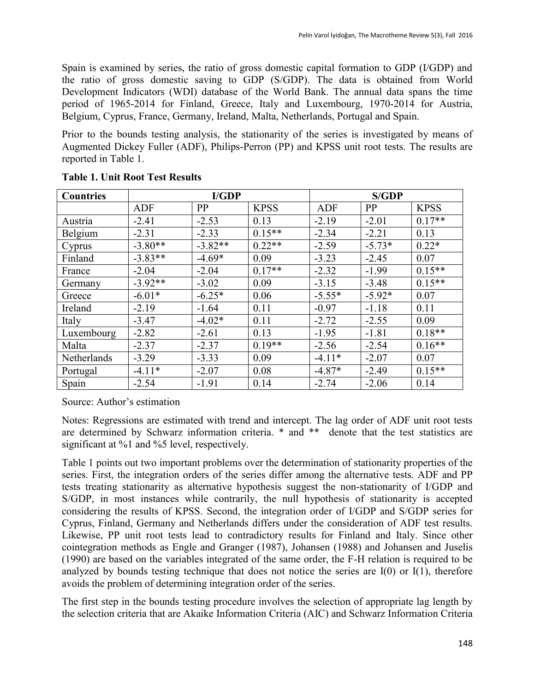Spain is examined by series, the ratio of gross domestic capital formation to GDP (I/GDP) and the ratio of gross domestic saving to GDP (S/GDP). The data is obtained from World Development Indicators (WDI) database of the World Bank. The annual data spans the time period of 1965-2014 for Finland, Greece, Italy and Luxembourg, 1970-2014 for Austria, Belgium, Cyprus, France, Germany, Ireland, Malta, Netherlands, Portugal and Spain.

Prior to the bounds testing analysis, the stationarity of the series is investigated by means of Augmented Dickey Fuller (ADF), Philips-Perron (PP) and KPSS unit root tests. The results are reported in Table 1.

| <b>Countries</b> | I/GDP      |           |             | <b>S/GDP</b> |          |             |
|------------------|------------|-----------|-------------|--------------|----------|-------------|
|                  | <b>ADF</b> | PP        | <b>KPSS</b> | ADF          | PP       | <b>KPSS</b> |
| Austria          | $-2.41$    | $-2.53$   | 0.13        | $-2.19$      | $-2.01$  | $0.17**$    |
| Belgium          | $-2.31$    | $-2.33$   | $0.15**$    | $-2.34$      | $-2.21$  | 0.13        |
| Cyprus           | $-3.80**$  | $-3.82**$ | $0.22**$    | $-2.59$      | $-5.73*$ | $0.22*$     |
| Finland          | $-3.83**$  | $-4.69*$  | 0.09        | $-3.23$      | $-2.45$  | 0.07        |
| France           | $-2.04$    | $-2.04$   | $0.17**$    | $-2.32$      | $-1.99$  | $0.15**$    |
| Germany          | $-3.92**$  | $-3.02$   | 0.09        | $-3.15$      | $-3.48$  | $0.15**$    |
| Greece           | $-6.01*$   | $-6.25*$  | 0.06        | $-5.55*$     | $-5.92*$ | 0.07        |
| Ireland          | $-2.19$    | $-1.64$   | 0.11        | $-0.97$      | $-1.18$  | 0.11        |
| Italy            | $-3.47$    | $-4.02*$  | 0.11        | $-2.72$      | $-2.55$  | 0.09        |
| Luxembourg       | $-2.82$    | $-2.61$   | 0.13        | $-1.95$      | $-1.81$  | $0.18**$    |
| Malta            | $-2.37$    | $-2.37$   | $0.19**$    | $-2.56$      | $-2.54$  | $0.16**$    |
| Netherlands      | $-3.29$    | $-3.33$   | 0.09        | $-4.11*$     | $-2.07$  | 0.07        |
| Portugal         | $-4.11*$   | $-2.07$   | 0.08        | $-4.87*$     | $-2.49$  | $0.15**$    |
| Spain            | $-2.54$    | $-1.91$   | 0.14        | $-2.74$      | $-2.06$  | 0.14        |

## **Table 1. Unit Root Test Results**

Source: Author's estimation

Notes: Regressions are estimated with trend and intercept. The lag order of ADF unit root tests are determined by Schwarz information criteria. \* and \*\* denote that the test statistics are significant at %1 and %5 level, respectively.

Table 1 points out two important problems over the determination of stationarity properties of the series. First, the integration orders of the series differ among the alternative tests. ADF and PP tests treating stationarity as alternative hypothesis suggest the non-stationarity of I/GDP and S/GDP, in most instances while contrarily, the null hypothesis of stationarity is accepted considering the results of KPSS. Second, the integration order of I/GDP and S/GDP series for Cyprus, Finland, Germany and Netherlands differs under the consideration of ADF test results. Likewise, PP unit root tests lead to contradictory results for Finland and Italy. Since other cointegration methods as Engle and Granger (1987), Johansen (1988) and Johansen and Juselis (1990) are based on the variables integrated of the same order, the F-H relation is required to be analyzed by bounds testing technique that does not notice the series are  $I(0)$  or  $I(1)$ , therefore avoids the problem of determining integration order of the series.

The first step in the bounds testing procedure involves the selection of appropriate lag length by the selection criteria that are Akaike Information Criteria (AIC) and Schwarz Information Criteria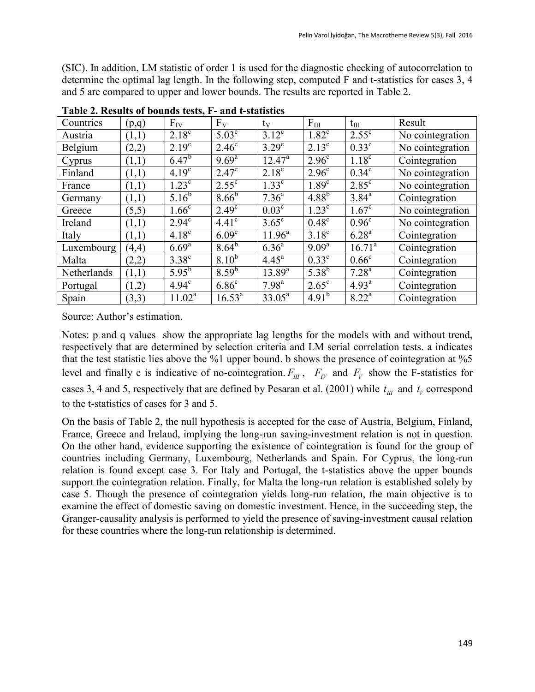(SIC). In addition, LM statistic of order 1 is used for the diagnostic checking of autocorrelation to determine the optimal lag length. In the following step, computed F and t-statistics for cases 3, 4 and 5 are compared to upper and lower bounds. The results are reported in Table 2.

| Countries   | (p,q) | $F_{IV}$              | $F_V$             | $t_V$             | $F_{III}$         | $t_{III}$         | Result           |
|-------------|-------|-----------------------|-------------------|-------------------|-------------------|-------------------|------------------|
| Austria     | (1,1) | $2.18^{\circ}$        | $5.03^{\circ}$    | $3.12^{\circ}$    | $1.82^{\circ}$    | $2.55^{\circ}$    | No cointegration |
| Belgium     | (2,2) | $2.19^{\circ}$        | $2.46^{\circ}$    | $3.29^\circ$      | $2.13^{\circ}$    | $0.33^{\circ}$    | No cointegration |
| Cyprus      | (1,1) | $6.47^{b}$            | $9.69^{\rm a}$    | $12.47^{\circ}$   | 2.96 <sup>c</sup> | 1.18 <sup>c</sup> | Cointegration    |
| Finland     | (1,1) | $4.19^{\overline{c}}$ | $2.47^{\circ}$    | $2.18^{\circ}$    | $2.96^{\circ}$    | $0.34^\circ$      | No cointegration |
| France      | (1,1) | $1.23^{\circ}$        | $2.55^{\circ}$    | 1.33 <sup>c</sup> | 1.89 <sup>c</sup> | $2.85^{\circ}$    | No cointegration |
| Germany     | (1,1) | $5.16^{b}$            | 8.66 <sup>b</sup> | $7.36^{\circ}$    | $4.88^{b}$        | $3.84^{\rm a}$    | Cointegration    |
| Greece      | (5,5) | 1.66 <sup>c</sup>     | $2.49^\circ$      | $0.03^{\circ}$    | $1.23^{\circ}$    | $1.67^{\circ}$    | No cointegration |
| Ireland     | (1,1) | $2.94^{\circ}$        | 4.41 <sup>c</sup> | $3.65^{\circ}$    | $0.48^\circ$      | 0.96 <sup>c</sup> | No cointegration |
| Italy       | (1,1) | 4.18 <sup>c</sup>     | 6.09 <sup>c</sup> | $11.96^{\circ}$   | $3.18^{\circ}$    | $6.28^{a}$        | Cointegration    |
| Luxembourg  | (4,4) | $6.69^{a}$            | $8.64^{b}$        | $6.36^{a}$        | $9.09^{\rm a}$    | $16.71^a$         | Cointegration    |
| Malta       | (2,2) | $3.38^\circ$          | 8.10 <sup>b</sup> | 4.45 <sup>a</sup> | $0.33^{\circ}$    | $0.66^{\circ}$    | Cointegration    |
| Netherlands | (1,1) | $5.95^{b}$            | $8.59^{b}$        | $13.89^{a}$       | $5.38^{b}$        | $7.28^{\rm a}$    | Cointegration    |
| Portugal    | (1,2) | 4.94 <sup>c</sup>     | 6.86 <sup>c</sup> | 7.98 <sup>a</sup> | $2.65^{\circ}$    | $4.93^{\rm a}$    | Cointegration    |
| Spain       | (3,3) | $11.02^a$             | $16.53^{\rm a}$   | $33.05^a$         | 4.91 <sup>b</sup> | $8.22^a$          | Cointegration    |

**Table 2. Results of bounds tests, F- and t-statistics**

Source: Author's estimation.

Notes: p and q values show the appropriate lag lengths for the models with and without trend, respectively that are determined by selection criteria and LM serial correlation tests. a indicates that the test statistic lies above the %1 upper bound. b shows the presence of cointegration at %5 level and finally c is indicative of no-cointegration.  $F_{III}$ ,  $F_{IV}$  and  $F_{V}$  show the F-statistics for cases 3, 4 and 5, respectively that are defined by Pesaran et al. (2001) while  $t_{III}$  and  $t_V$  correspond to the t-statistics of cases for 3 and 5.

On the basis of Table 2, the null hypothesis is accepted for the case of Austria, Belgium, Finland, France, Greece and Ireland, implying the long-run saving-investment relation is not in question. On the other hand, evidence supporting the existence of cointegration is found for the group of countries including Germany, Luxembourg, Netherlands and Spain. For Cyprus, the long-run relation is found except case 3. For Italy and Portugal, the t-statistics above the upper bounds support the cointegration relation. Finally, for Malta the long-run relation is established solely by case 5. Though the presence of cointegration yields long-run relation, the main objective is to examine the effect of domestic saving on domestic investment. Hence, in the succeeding step, the Granger-causality analysis is performed to yield the presence of saving-investment causal relation for these countries where the long-run relationship is determined.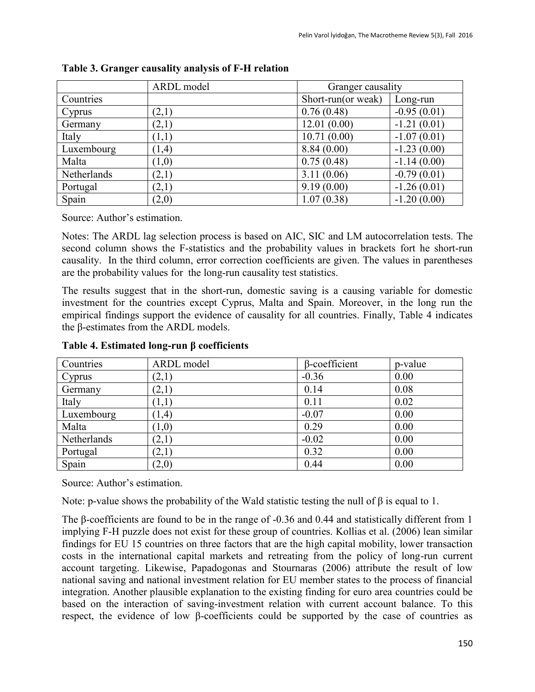|             | ARDL model | Granger causality  |               |  |
|-------------|------------|--------------------|---------------|--|
| Countries   |            | Short-run(or weak) | Long-run      |  |
| Cyprus      | (2,1)      | 0.76(0.48)         | $-0.95(0.01)$ |  |
| Germany     | (2,1)      | 12.01(0.00)        | $-1.21(0.01)$ |  |
| Italy       | (1,1)      | 10.71(0.00)        | $-1.07(0.01)$ |  |
| Luxembourg  | (1,4)      | 8.84(0.00)         | $-1.23(0.00)$ |  |
| Malta       | (1,0)      | 0.75(0.48)         | $-1.14(0.00)$ |  |
| Netherlands | (2,1)      | 3.11(0.06)         | $-0.79(0.01)$ |  |
| Portugal    | (2,1)      | 9.19(0.00)         | $-1.26(0.01)$ |  |
| Spain       | (2,0)      | 1.07(0.38)         | $-1.20(0.00)$ |  |

#### **Table 3. Granger causality analysis of F-H relation**

Source: Author's estimation.

Notes: The ARDL lag selection process is based on AIC, SIC and LM autocorrelation tests. The second column shows the F-statistics and the probability values in brackets fort he short-run causality. In the third column, error correction coefficients are given. The values in parentheses are the probability values for the long-run causality test statistics.

The results suggest that in the short-run, domestic saving is a causing variable for domestic investment for the countries except Cyprus, Malta and Spain. Moreover, in the long run the empirical findings support the evidence of causality for all countries. Finally, Table 4 indicates the β-estimates from the ARDL models.

| Countries   | ARDL model | β-coefficient | p-value |
|-------------|------------|---------------|---------|
| Cyprus      | (2,1)      | $-0.36$       | 0.00    |
| Germany     | (2,1)      | 0.14          | 0.08    |
| Italy       | (1,1)      | 0.11          | 0.02    |
| Luxembourg  | (1,4)      | $-0.07$       | 0.00    |
| Malta       | (1,0)      | 0.29          | 0.00    |
| Netherlands | (2,1)      | $-0.02$       | 0.00    |
| Portugal    | (2,1)      | 0.32          | 0.00    |
| Spain       | (2,0)      | 0.44          | 0.00    |

# **Table 4. Estimated long-run β coefficients**

Source: Author's estimation.

Note: p-value shows the probability of the Wald statistic testing the null of  $\beta$  is equal to 1.

The β-coefficients are found to be in the range of -0.36 and 0.44 and statistically different from 1 implying F-H puzzle does not exist for these group of countries. Kollias et al. (2006) lean similar findings for EU 15 countries on three factors that are the high capital mobility, lower transaction costs in the international capital markets and retreating from the policy of long-run current account targeting. Likewise, Papadogonas and Stournaras (2006) attribute the result of low national saving and national investment relation for EU member states to the process of financial integration. Another plausible explanation to the existing finding for euro area countries could be based on the interaction of saving-investment relation with current account balance. To this respect, the evidence of low β-coefficients could be supported by the case of countries as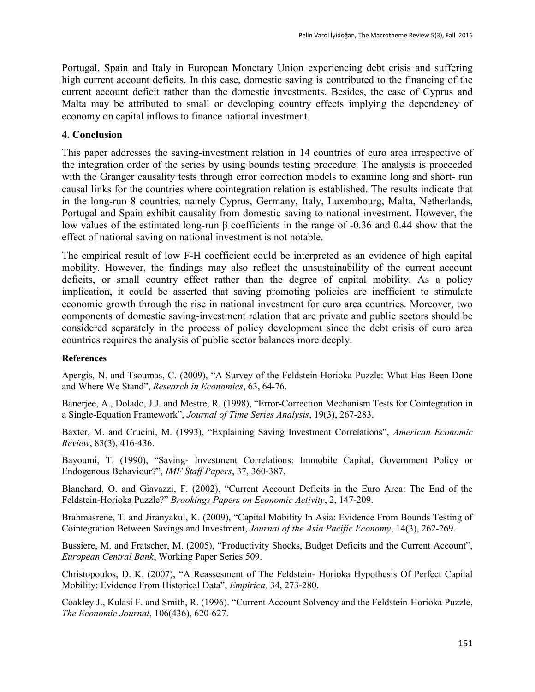Portugal, Spain and Italy in European Monetary Union experiencing debt crisis and suffering high current account deficits. In this case, domestic saving is contributed to the financing of the current account deficit rather than the domestic investments. Besides, the case of Cyprus and Malta may be attributed to small or developing country effects implying the dependency of economy on capital inflows to finance national investment.

## **4. Conclusion**

This paper addresses the saving-investment relation in 14 countries of euro area irrespective of the integration order of the series by using bounds testing procedure. The analysis is proceeded with the Granger causality tests through error correction models to examine long and short- run causal links for the countries where cointegration relation is established. The results indicate that in the long-run 8 countries, namely Cyprus, Germany, Italy, Luxembourg, Malta, Netherlands, Portugal and Spain exhibit causality from domestic saving to national investment. However, the low values of the estimated long-run β coefficients in the range of -0.36 and 0.44 show that the effect of national saving on national investment is not notable.

The empirical result of low F-H coefficient could be interpreted as an evidence of high capital mobility. However, the findings may also reflect the unsustainability of the current account deficits, or small country effect rather than the degree of capital mobility. As a policy implication, it could be asserted that saving promoting policies are inefficient to stimulate economic growth through the rise in national investment for euro area countries. Moreover, two components of domestic saving-investment relation that are private and public sectors should be considered separately in the process of policy development since the debt crisis of euro area countries requires the analysis of public sector balances more deeply.

#### **References**

Apergis, N. and Tsoumas, C. (2009), "A Survey of the Feldstein-Horioka Puzzle: What Has Been Done and Where We Stand", *Research in Economics*, 63, 64-76.

Banerjee, A., Dolado, J.J. and Mestre, R. (1998), "Error-Correction Mechanism Tests for Cointegration in a Single-Equation Framework", *Journal of Time Series Analysis*, 19(3), 267-283.

Baxter, M. and Crucini, M. (1993), "Explaining Saving Investment Correlations", *American Economic Review*, 83(3), 416-436.

Bayoumi, T. (1990), "Saving- Investment Correlations: Immobile Capital, Government Policy or Endogenous Behaviour?", *IMF Staff Papers*, 37, 360-387.

Blanchard, O. and Giavazzi, F. (2002), "Current Account Deficits in the Euro Area: The End of the Feldstein-Horioka Puzzle?" *Brookings Papers on Economic Activity*, 2, 147-209.

Brahmasrene, T. and Jiranyakul, K. (2009), "Capital Mobility In Asia: Evidence From Bounds Testing of Cointegration Between Savings and Investment, *Journal of the Asia Pacific Economy*, 14(3), 262-269.

Bussiere, M. and Fratscher, M. (2005), "Productivity Shocks, Budget Deficits and the Current Account", *European Central Bank*, Working Paper Series 509.

Christopoulos, D. K. (2007), "A Reassesment of The Feldstein- Horioka Hypothesis Of Perfect Capital Mobility: Evidence From Historical Data", *Empirica,* 34, 273-280.

Coakley J., Kulasi F. and Smith, R. (1996). "Current Account Solvency and the Feldstein-Horioka Puzzle, *The Economic Journal*, 106(436), 620-627.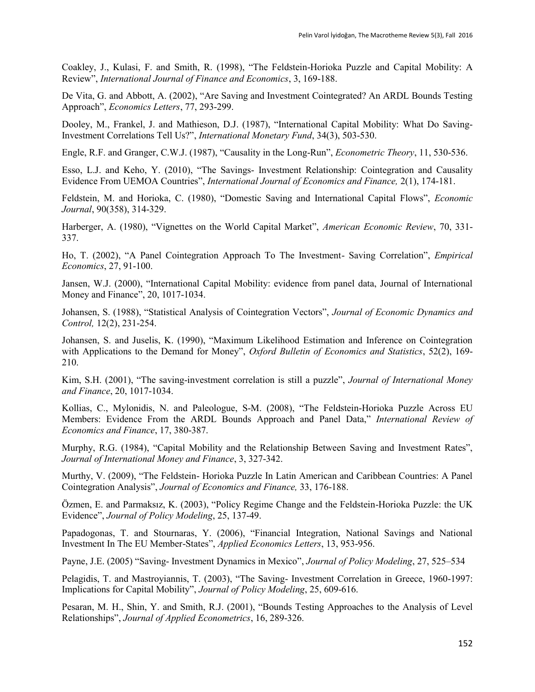Coakley, J., Kulasi, F. and Smith, R. (1998), "The Feldstein-Horioka Puzzle and Capital Mobility: A Review", *International Journal of Finance and Economics*, 3, 169-188.

De Vita, G. and Abbott, A. (2002), "Are Saving and Investment Cointegrated? An ARDL Bounds Testing Approach", *Economics Letters*, 77, 293-299.

Dooley, M., Frankel, J. and Mathieson, D.J. (1987), "International Capital Mobility: What Do Saving-Investment Correlations Tell Us?", *International Monetary Fund*, 34(3), 503-530.

Engle, R.F. and Granger, C.W.J. (1987), "Causality in the Long-Run", *Econometric Theory*, 11, 530-536.

Esso, L.J. and Keho, Y. (2010), "The Savings- Investment Relationship: Cointegration and Causality Evidence From UEMOA Countries", *International Journal of Economics and Finance,* 2(1), 174-181.

Feldstein, M. and Horioka, C. (1980), "Domestic Saving and International Capital Flows", *Economic Journal*, 90(358), 314-329.

Harberger, A. (1980), "Vignettes on the World Capital Market", *American Economic Review*, 70, 331- 337.

Ho, T. (2002), "A Panel Cointegration Approach To The Investment- Saving Correlation", *Empirical Economics*, 27, 91-100.

Jansen, W.J. (2000), "International Capital Mobility: evidence from panel data, Journal of International Money and Finance", 20, 1017-1034.

Johansen, S. (1988), "Statistical Analysis of Cointegration Vectors", *Journal of Economic Dynamics and Control,* 12(2), 231-254.

Johansen, S. and Juselis, K. (1990), "Maximum Likelihood Estimation and Inference on Cointegration with Applications to the Demand for Money", *Oxford Bulletin of Economics and Statistics*, 52(2), 169- 210.

Kim, S.H. (2001), "The saving-investment correlation is still a puzzle", *Journal of International Money and Finance*, 20, 1017-1034.

Kollias, C., Mylonidis, N. and Paleologue, S-M. (2008), "The Feldstein-Horioka Puzzle Across EU Members: Evidence From the ARDL Bounds Approach and Panel Data," *International Review of Economics and Finance*, 17, 380-387.

Murphy, R.G. (1984), "Capital Mobility and the Relationship Between Saving and Investment Rates", *Journal of International Money and Finance*, 3, 327-342.

Murthy, V. (2009), "The Feldstein- Horioka Puzzle In Latin American and Caribbean Countries: A Panel Cointegration Analysis", *Journal of Economics and Finance,* 33, 176-188.

Özmen, E. and Parmaksız, K. (2003), "Policy Regime Change and the Feldstein-Horioka Puzzle: the UK Evidence", *Journal of Policy Modeling*, 25, 137-49.

Papadogonas, T. and Stournaras, Y. (2006), "Financial Integration, National Savings and National Investment In The EU Member-States", *Applied Economics Letters*, 13, 953-956.

Payne, J.E. (2005) "Saving- Investment Dynamics in Mexico", *Journal of Policy Modeling*, 27, 525–534

Pelagidis, T. and Mastroyiannis, T. (2003), "The Saving- Investment Correlation in Greece, 1960-1997: Implications for Capital Mobility", *Journal of Policy Modeling*, 25, 609-616.

Pesaran, M. H., Shin, Y. and Smith, R.J. (2001), "Bounds Testing Approaches to the Analysis of Level Relationships", *Journal of Applied Econometrics*, 16, 289-326.